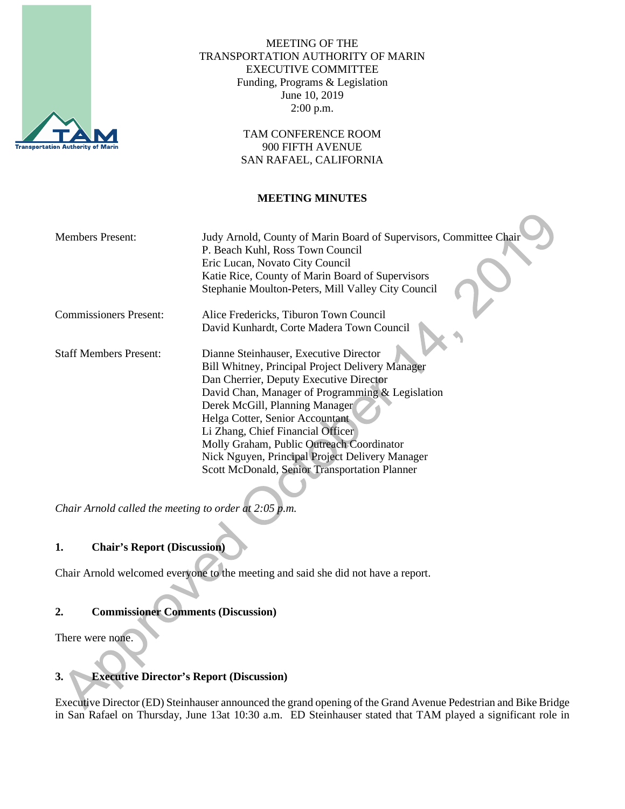

MEETING OF THE TRANSPORTATION AUTHORITY OF MARIN EXECUTIVE COMMITTEE Funding, Programs & Legislation June 10, 2019 2:00 p.m.

> TAM CONFERENCE ROOM 900 FIFTH AVENUE SAN RAFAEL, CALIFORNIA

#### **MEETING MINUTES**

| <b>Members Present:</b>       | Judy Arnold, County of Marin Board of Supervisors, Committee Chair<br>P. Beach Kuhl, Ross Town Council<br>Eric Lucan, Novato City Council<br>Katie Rice, County of Marin Board of Supervisors<br>Stephanie Moulton-Peters, Mill Valley City Council                                                                                                                                                                                                  |
|-------------------------------|------------------------------------------------------------------------------------------------------------------------------------------------------------------------------------------------------------------------------------------------------------------------------------------------------------------------------------------------------------------------------------------------------------------------------------------------------|
| <b>Commissioners Present:</b> | Alice Fredericks, Tiburon Town Council                                                                                                                                                                                                                                                                                                                                                                                                               |
|                               | David Kunhardt, Corte Madera Town Council                                                                                                                                                                                                                                                                                                                                                                                                            |
| <b>Staff Members Present:</b> | Dianne Steinhauser, Executive Director<br>Bill Whitney, Principal Project Delivery Manager<br>Dan Cherrier, Deputy Executive Director<br>David Chan, Manager of Programming & Legislation<br>Derek McGill, Planning Manager<br>Helga Cotter, Senior Accountant<br>Li Zhang, Chief Financial Officer<br>Molly Graham, Public Outreach Coordinator<br>Nick Nguyen, Principal Project Delivery Manager<br>Scott McDonald, Senior Transportation Planner |

*Chair Arnold called the meeting to order at 2:05 p.m.*

# **1. Chair's Report (Discussion)**

Chair Arnold welcomed everyone to the meeting and said she did not have a report.

#### **2. Commissioner Comments (Discussion)**

There were none.

# **3. Executive Director's Report (Discussion)**

Executive Director (ED) Steinhauser announced the grand opening of the Grand Avenue Pedestrian and Bike Bridge in San Rafael on Thursday, June 13at 10:30 a.m. ED Steinhauser stated that TAM played a significant role in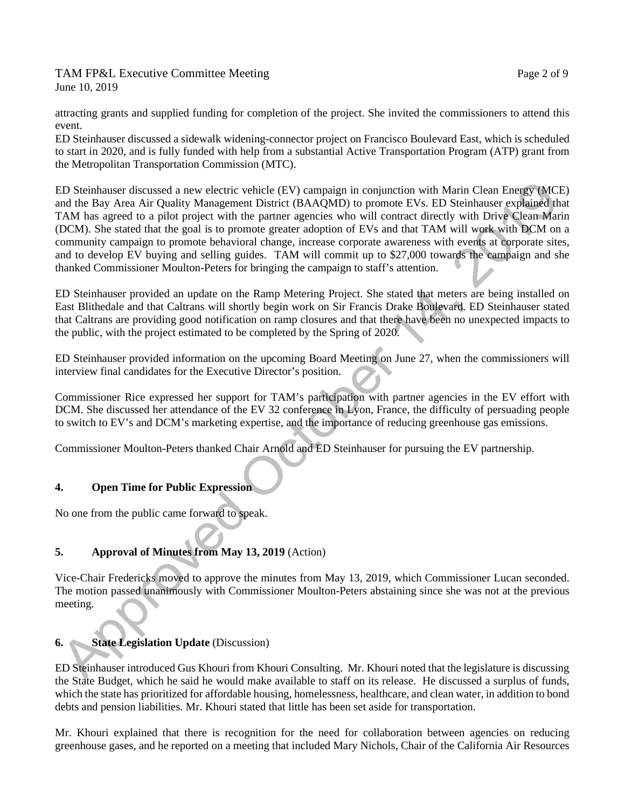TAM FP&L Executive Committee Meeting TAM Page 2 of 9 June 10, 2019

attracting grants and supplied funding for completion of the project. She invited the commissioners to attend this event.

ED Steinhauser discussed a sidewalk widening-connector project on Francisco Boulevard East, which is scheduled to start in 2020, and is fully funded with help from a substantial Active Transportation Program (ATP) grant from the Metropolitan Transportation Commission (MTC).

ED Steinhauser discussed a new electric vehicle (EV) campaign in conjunction with Marin Clean Energy (MCE) and the Bay Area Air Quality Management District (BAAQMD) to promote EVs. ED Steinhauser explained that TAM has agreed to a pilot project with the partner agencies who will contract directly with Drive Clean Marin (DCM). She stated that the goal is to promote greater adoption of EVs and that TAM will work with DCM on a community campaign to promote behavioral change, increase corporate awareness with events at corporate sites, and to develop EV buying and selling guides. TAM will commit up to \$27,000 towards the campaign and she thanked Commissioner Moulton-Peters for bringing the campaign to staff's attention.

ED Steinhauser provided an update on the Ramp Metering Project. She stated that meters are being installed on East Blithedale and that Caltrans will shortly begin work on Sir Francis Drake Boulevard. ED Steinhauser stated that Caltrans are providing good notification on ramp closures and that there have been no unexpected impacts to the public, with the project estimated to be completed by the Spring of 2020.

ED Steinhauser provided information on the upcoming Board Meeting on June 27, when the commissioners will interview final candidates for the Executive Director's position.

Commissioner Rice expressed her support for TAM's participation with partner agencies in the EV effort with DCM. She discussed her attendance of the EV 32 conference in Lyon, France, the difficulty of persuading people to switch to EV's and DCM's marketing expertise, and the importance of reducing greenhouse gas emissions.

Commissioner Moulton-Peters thanked Chair Arnold and ED Steinhauser for pursuing the EV partnership.

# **4. Open Time for Public Expression**

No one from the public came forward to speak.

# **5. Approval of Minutes from May 13, 2019** (Action)

Vice-Chair Fredericks moved to approve the minutes from May 13, 2019, which Commissioner Lucan seconded. The motion passed unanimously with Commissioner Moulton-Peters abstaining since she was not at the previous meeting.

# **6.** State Legislation Update (Discussion)

ED Steinhauser introduced Gus Khouri from Khouri Consulting. Mr. Khouri noted that the legislature is discussing the State Budget, which he said he would make available to staff on its release. He discussed a surplus of funds, which the state has prioritized for affordable housing, homelessness, healthcare, and clean water, in addition to bond debts and pension liabilities. Mr. Khouri stated that little has been set aside for transportation.

Mr. Khouri explained that there is recognition for the need for collaboration between agencies on reducing greenhouse gases, and he reported on a meeting that included Mary Nichols, Chair of the California Air Resources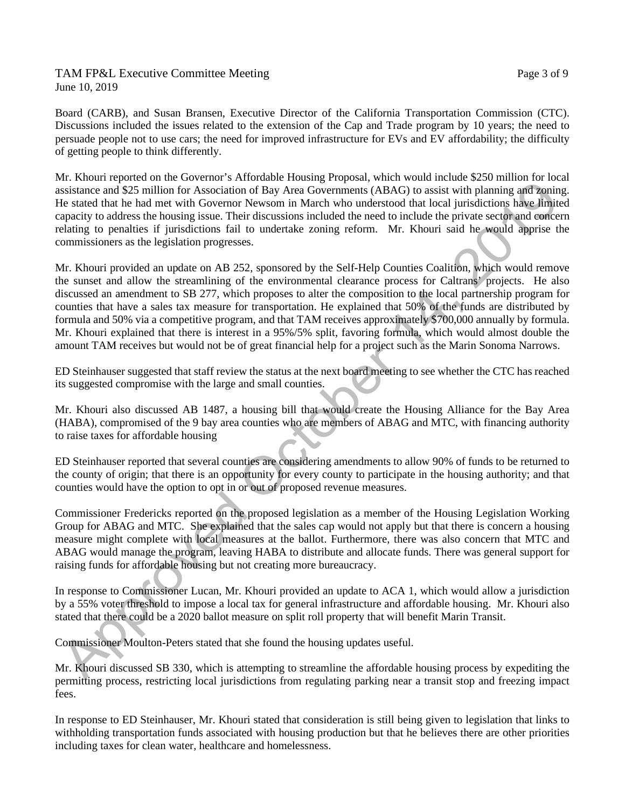### TAM FP&L Executive Committee Meeting TAM FREE 2 of 9 June 10, 2019

Board (CARB), and Susan Bransen, Executive Director of the California Transportation Commission (CTC). Discussions included the issues related to the extension of the Cap and Trade program by 10 years; the need to persuade people not to use cars; the need for improved infrastructure for EVs and EV affordability; the difficulty of getting people to think differently.

Mr. Khouri reported on the Governor's Affordable Housing Proposal, which would include \$250 million for local assistance and \$25 million for Association of Bay Area Governments (ABAG) to assist with planning and zoning. He stated that he had met with Governor Newsom in March who understood that local jurisdictions have limited capacity to address the housing issue. Their discussions included the need to include the private sector and concern relating to penalties if jurisdictions fail to undertake zoning reform. Mr. Khouri said he would apprise the commissioners as the legislation progresses.

Mr. Khouri provided an update on AB 252, sponsored by the Self-Help Counties Coalition, which would remove the sunset and allow the streamlining of the environmental clearance process for Caltrans' projects. He also discussed an amendment to SB 277, which proposes to alter the composition to the local partnership program for counties that have a sales tax measure for transportation. He explained that 50% of the funds are distributed by formula and 50% via a competitive program, and that TAM receives approximately \$700,000 annually by formula. Mr. Khouri explained that there is interest in a 95%/5% split, favoring formula, which would almost double the amount TAM receives but would not be of great financial help for a project such as the Marin Sonoma Narrows.

ED Steinhauser suggested that staff review the status at the next board meeting to see whether the CTC has reached its suggested compromise with the large and small counties.

Mr. Khouri also discussed AB 1487, a housing bill that would create the Housing Alliance for the Bay Area (HABA), compromised of the 9 bay area counties who are members of ABAG and MTC, with financing authority to raise taxes for affordable housing

ED Steinhauser reported that several counties are considering amendments to allow 90% of funds to be returned to the county of origin; that there is an opportunity for every county to participate in the housing authority; and that counties would have the option to opt in or out of proposed revenue measures.

Commissioner Fredericks reported on the proposed legislation as a member of the Housing Legislation Working Group for ABAG and MTC. She explained that the sales cap would not apply but that there is concern a housing measure might complete with local measures at the ballot. Furthermore, there was also concern that MTC and ABAG would manage the program, leaving HABA to distribute and allocate funds. There was general support for raising funds for affordable housing but not creating more bureaucracy.

In response to Commissioner Lucan, Mr. Khouri provided an update to ACA 1, which would allow a jurisdiction by a 55% voter threshold to impose a local tax for general infrastructure and affordable housing. Mr. Khouri also stated that there could be a 2020 ballot measure on split roll property that will benefit Marin Transit.

Commissioner Moulton-Peters stated that she found the housing updates useful.

Mr. Khouri discussed SB 330, which is attempting to streamline the affordable housing process by expediting the permitting process, restricting local jurisdictions from regulating parking near a transit stop and freezing impact fees.

In response to ED Steinhauser, Mr. Khouri stated that consideration is still being given to legislation that links to withholding transportation funds associated with housing production but that he believes there are other priorities including taxes for clean water, healthcare and homelessness.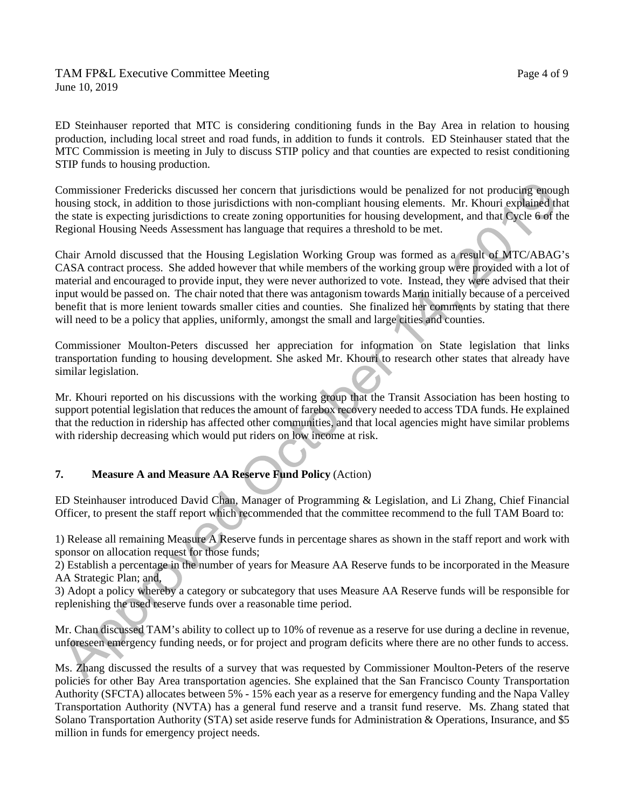### TAM FP&L Executive Committee Meeting TAM FREE Page 4 of 9 June 10, 2019

ED Steinhauser reported that MTC is considering conditioning funds in the Bay Area in relation to housing production, including local street and road funds, in addition to funds it controls. ED Steinhauser stated that the MTC Commission is meeting in July to discuss STIP policy and that counties are expected to resist conditioning STIP funds to housing production.

Commissioner Fredericks discussed her concern that jurisdictions would be penalized for not producing enough housing stock, in addition to those jurisdictions with non-compliant housing elements. Mr. Khouri explained that the state is expecting jurisdictions to create zoning opportunities for housing development, and that Cycle 6 of the Regional Housing Needs Assessment has language that requires a threshold to be met.

Chair Arnold discussed that the Housing Legislation Working Group was formed as a result of MTC/ABAG's CASA contract process. She added however that while members of the working group were provided with a lot of material and encouraged to provide input, they were never authorized to vote. Instead, they were advised that their input would be passed on. The chair noted that there was antagonism towards Marin initially because of a perceived benefit that is more lenient towards smaller cities and counties. She finalized her comments by stating that there will need to be a policy that applies, uniformly, amongst the small and large cities and counties.

Commissioner Moulton-Peters discussed her appreciation for information on State legislation that links transportation funding to housing development. She asked Mr. Khouri to research other states that already have similar legislation.

Mr. Khouri reported on his discussions with the working group that the Transit Association has been hosting to support potential legislation that reduces the amount of farebox recovery needed to access TDA funds. He explained that the reduction in ridership has affected other communities, and that local agencies might have similar problems with ridership decreasing which would put riders on low income at risk.

# **7. Measure A and Measure AA Reserve Fund Policy** (Action)

ED Steinhauser introduced David Chan, Manager of Programming & Legislation, and Li Zhang, Chief Financial Officer, to present the staff report which recommended that the committee recommend to the full TAM Board to:

1) Release all remaining Measure A Reserve funds in percentage shares as shown in the staff report and work with sponsor on allocation request for those funds;

2) Establish a percentage in the number of years for Measure AA Reserve funds to be incorporated in the Measure AA Strategic Plan; and,

3) Adopt a policy whereby a category or subcategory that uses Measure AA Reserve funds will be responsible for replenishing the used reserve funds over a reasonable time period.

Mr. Chan discussed TAM's ability to collect up to 10% of revenue as a reserve for use during a decline in revenue, unforeseen emergency funding needs, or for project and program deficits where there are no other funds to access.

Ms. Zhang discussed the results of a survey that was requested by Commissioner Moulton-Peters of the reserve policies for other Bay Area transportation agencies. She explained that the San Francisco County Transportation Authority (SFCTA) allocates between 5% - 15% each year as a reserve for emergency funding and the Napa Valley Transportation Authority (NVTA) has a general fund reserve and a transit fund reserve. Ms. Zhang stated that Solano Transportation Authority (STA) set aside reserve funds for Administration & Operations, Insurance, and \$5 million in funds for emergency project needs.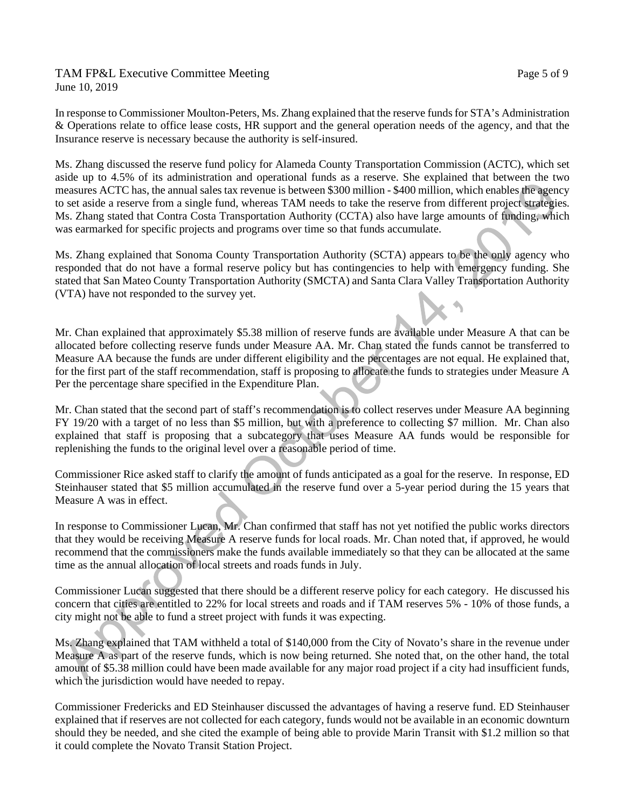TAM FP&L Executive Committee Meeting TAM FREE 2008 Page 5 of 9 June 10, 2019

In response to Commissioner Moulton-Peters, Ms. Zhang explained that the reserve funds for STA's Administration & Operations relate to office lease costs, HR support and the general operation needs of the agency, and that the Insurance reserve is necessary because the authority is self-insured.

Ms. Zhang discussed the reserve fund policy for Alameda County Transportation Commission (ACTC), which set aside up to 4.5% of its administration and operational funds as a reserve. She explained that between the two measures ACTC has, the annual sales tax revenue is between \$300 million - \$400 million, which enables the agency to set aside a reserve from a single fund, whereas TAM needs to take the reserve from different project strategies. Ms. Zhang stated that Contra Costa Transportation Authority (CCTA) also have large amounts of funding, which was earmarked for specific projects and programs over time so that funds accumulate.

Ms. Zhang explained that Sonoma County Transportation Authority (SCTA) appears to be the only agency who responded that do not have a formal reserve policy but has contingencies to help with emergency funding. She stated that San Mateo County Transportation Authority (SMCTA) and Santa Clara Valley Transportation Authority (VTA) have not responded to the survey yet.

Mr. Chan explained that approximately \$5.38 million of reserve funds are available under Measure A that can be allocated before collecting reserve funds under Measure AA. Mr. Chan stated the funds cannot be transferred to Measure AA because the funds are under different eligibility and the percentages are not equal. He explained that, for the first part of the staff recommendation, staff is proposing to allocate the funds to strategies under Measure A Per the percentage share specified in the Expenditure Plan.

Mr. Chan stated that the second part of staff's recommendation is to collect reserves under Measure AA beginning FY 19/20 with a target of no less than \$5 million, but with a preference to collecting \$7 million. Mr. Chan also explained that staff is proposing that a subcategory that uses Measure AA funds would be responsible for replenishing the funds to the original level over a reasonable period of time.

Commissioner Rice asked staff to clarify the amount of funds anticipated as a goal for the reserve. In response, ED Steinhauser stated that \$5 million accumulated in the reserve fund over a 5-year period during the 15 years that Measure A was in effect.

In response to Commissioner Lucan, Mr. Chan confirmed that staff has not yet notified the public works directors that they would be receiving Measure A reserve funds for local roads. Mr. Chan noted that, if approved, he would recommend that the commissioners make the funds available immediately so that they can be allocated at the same time as the annual allocation of local streets and roads funds in July.

Commissioner Lucan suggested that there should be a different reserve policy for each category. He discussed his concern that cities are entitled to 22% for local streets and roads and if TAM reserves 5% - 10% of those funds, a city might not be able to fund a street project with funds it was expecting.

Ms. Zhang explained that TAM withheld a total of \$140,000 from the City of Novato's share in the revenue under Measure A as part of the reserve funds, which is now being returned. She noted that, on the other hand, the total amount of \$5.38 million could have been made available for any major road project if a city had insufficient funds, which the jurisdiction would have needed to repay.

Commissioner Fredericks and ED Steinhauser discussed the advantages of having a reserve fund. ED Steinhauser explained that if reserves are not collected for each category, funds would not be available in an economic downturn should they be needed, and she cited the example of being able to provide Marin Transit with \$1.2 million so that it could complete the Novato Transit Station Project.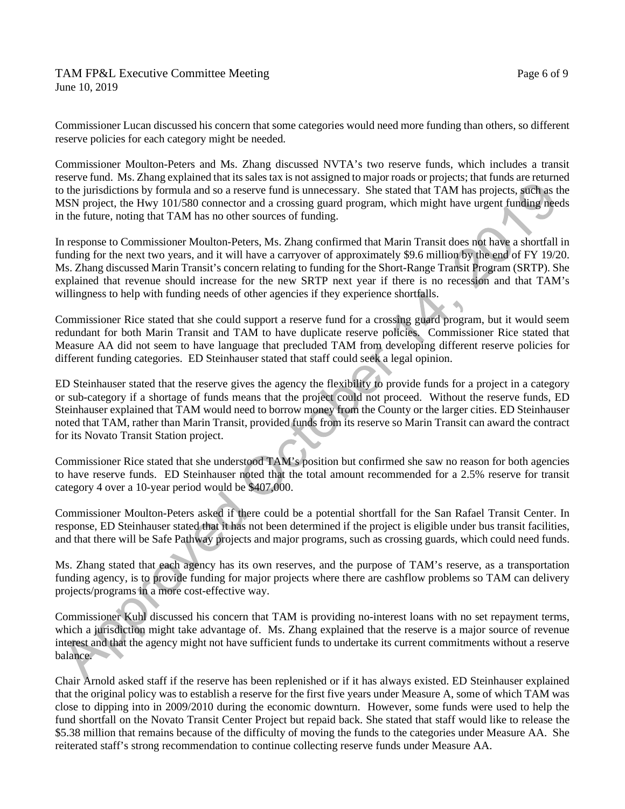### TAM FP&L Executive Committee Meeting TAM FREE 6 of 9 June 10, 2019

Commissioner Lucan discussed his concern that some categories would need more funding than others, so different reserve policies for each category might be needed.

Commissioner Moulton-Peters and Ms. Zhang discussed NVTA's two reserve funds, which includes a transit reserve fund. Ms. Zhang explained that its sales tax is not assigned to major roads or projects; that funds are returned to the jurisdictions by formula and so a reserve fund is unnecessary. She stated that TAM has projects, such as the MSN project, the Hwy 101/580 connector and a crossing guard program, which might have urgent funding needs in the future, noting that TAM has no other sources of funding.

In response to Commissioner Moulton-Peters, Ms. Zhang confirmed that Marin Transit does not have a shortfall in funding for the next two years, and it will have a carryover of approximately \$9.6 million by the end of FY 19/20. Ms. Zhang discussed Marin Transit's concern relating to funding for the Short-Range Transit Program (SRTP). She explained that revenue should increase for the new SRTP next year if there is no recession and that TAM's willingness to help with funding needs of other agencies if they experience shortfalls.

Commissioner Rice stated that she could support a reserve fund for a crossing guard program, but it would seem redundant for both Marin Transit and TAM to have duplicate reserve policies. Commissioner Rice stated that Measure AA did not seem to have language that precluded TAM from developing different reserve policies for different funding categories. ED Steinhauser stated that staff could seek a legal opinion.

ED Steinhauser stated that the reserve gives the agency the flexibility to provide funds for a project in a category or sub-category if a shortage of funds means that the project could not proceed. Without the reserve funds, ED Steinhauser explained that TAM would need to borrow money from the County or the larger cities. ED Steinhauser noted that TAM, rather than Marin Transit, provided funds from its reserve so Marin Transit can award the contract for its Novato Transit Station project.

Commissioner Rice stated that she understood TAM's position but confirmed she saw no reason for both agencies to have reserve funds. ED Steinhauser noted that the total amount recommended for a 2.5% reserve for transit category 4 over a 10-year period would be \$407,000.

Commissioner Moulton-Peters asked if there could be a potential shortfall for the San Rafael Transit Center. In response, ED Steinhauser stated that it has not been determined if the project is eligible under bus transit facilities, and that there will be Safe Pathway projects and major programs, such as crossing guards, which could need funds.

Ms. Zhang stated that each agency has its own reserves, and the purpose of TAM's reserve, as a transportation funding agency, is to provide funding for major projects where there are cashflow problems so TAM can delivery projects/programs in a more cost-effective way.

Commissioner Kuhl discussed his concern that TAM is providing no-interest loans with no set repayment terms, which a jurisdiction might take advantage of. Ms. Zhang explained that the reserve is a major source of revenue interest and that the agency might not have sufficient funds to undertake its current commitments without a reserve balance.

Chair Arnold asked staff if the reserve has been replenished or if it has always existed. ED Steinhauser explained that the original policy was to establish a reserve for the first five years under Measure A, some of which TAM was close to dipping into in 2009/2010 during the economic downturn. However, some funds were used to help the fund shortfall on the Novato Transit Center Project but repaid back. She stated that staff would like to release the \$5.38 million that remains because of the difficulty of moving the funds to the categories under Measure AA. She reiterated staff's strong recommendation to continue collecting reserve funds under Measure AA.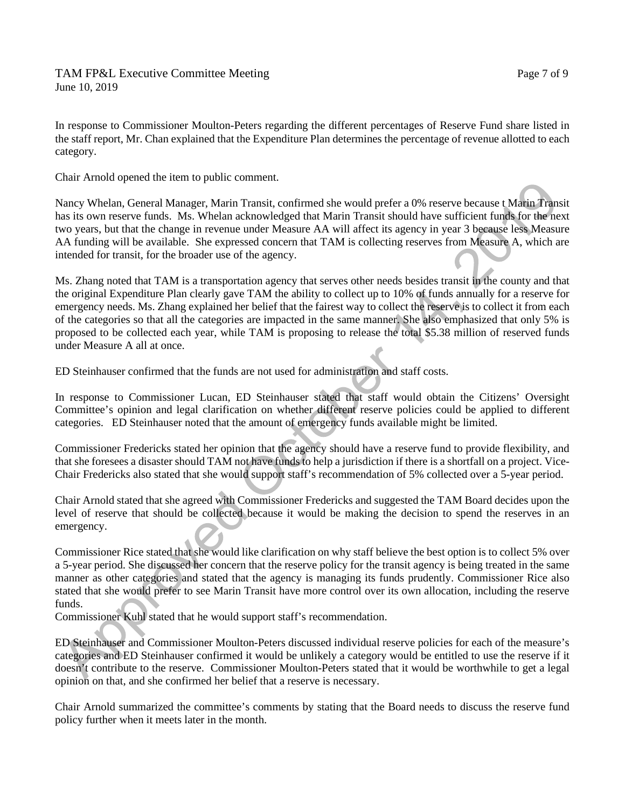In response to Commissioner Moulton-Peters regarding the different percentages of Reserve Fund share listed in the staff report, Mr. Chan explained that the Expenditure Plan determines the percentage of revenue allotted to each category.

Chair Arnold opened the item to public comment.

Nancy Whelan, General Manager, Marin Transit, confirmed she would prefer a 0% reserve because t Marin Transit has its own reserve funds. Ms. Whelan acknowledged that Marin Transit should have sufficient funds for the next two years, but that the change in revenue under Measure AA will affect its agency in year 3 because less Measure AA funding will be available. She expressed concern that TAM is collecting reserves from Measure A, which are intended for transit, for the broader use of the agency.

Ms. Zhang noted that TAM is a transportation agency that serves other needs besides transit in the county and that the original Expenditure Plan clearly gave TAM the ability to collect up to 10% of funds annually for a reserve for emergency needs. Ms. Zhang explained her belief that the fairest way to collect the reserve is to collect it from each of the categories so that all the categories are impacted in the same manner. She also emphasized that only 5% is proposed to be collected each year, while TAM is proposing to release the total \$5.38 million of reserved funds under Measure A all at once.

ED Steinhauser confirmed that the funds are not used for administration and staff costs.

In response to Commissioner Lucan, ED Steinhauser stated that staff would obtain the Citizens' Oversight Committee's opinion and legal clarification on whether different reserve policies could be applied to different categories. ED Steinhauser noted that the amount of emergency funds available might be limited.

Commissioner Fredericks stated her opinion that the agency should have a reserve fund to provide flexibility, and that she foresees a disaster should TAM not have funds to help a jurisdiction if there is a shortfall on a project. Vice-Chair Fredericks also stated that she would support staff's recommendation of 5% collected over a 5-year period.

Chair Arnold stated that she agreed with Commissioner Fredericks and suggested the TAM Board decides upon the level of reserve that should be collected because it would be making the decision to spend the reserves in an emergency.

Commissioner Rice stated that she would like clarification on why staff believe the best option is to collect 5% over a 5-year period. She discussed her concern that the reserve policy for the transit agency is being treated in the same manner as other categories and stated that the agency is managing its funds prudently. Commissioner Rice also stated that she would prefer to see Marin Transit have more control over its own allocation, including the reserve funds.

Commissioner Kuhl stated that he would support staff's recommendation.

ED Steinhauser and Commissioner Moulton-Peters discussed individual reserve policies for each of the measure's categories and ED Steinhauser confirmed it would be unlikely a category would be entitled to use the reserve if it doesn't contribute to the reserve. Commissioner Moulton-Peters stated that it would be worthwhile to get a legal opinion on that, and she confirmed her belief that a reserve is necessary.

Chair Arnold summarized the committee's comments by stating that the Board needs to discuss the reserve fund policy further when it meets later in the month.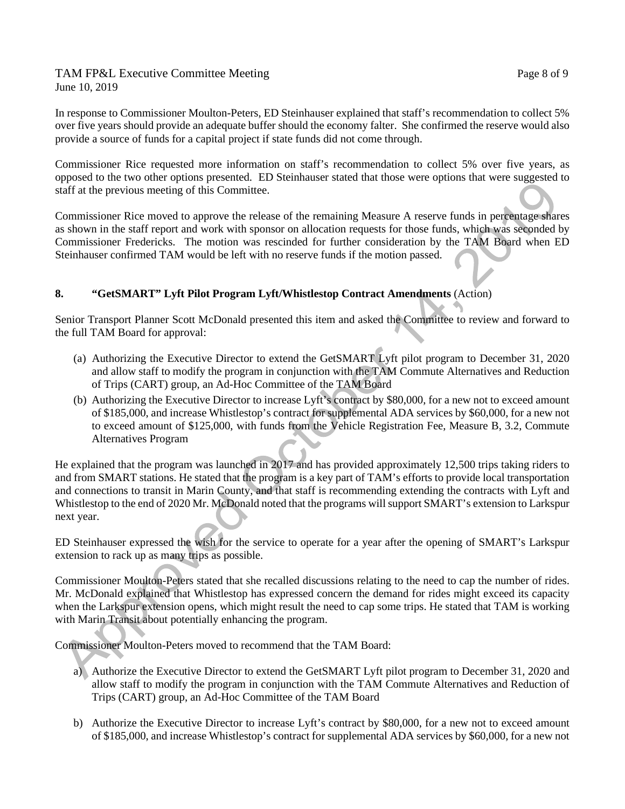### TAM FP&L Executive Committee Meeting TAM FREE Page 8 of 9 June 10, 2019

In response to Commissioner Moulton-Peters, ED Steinhauser explained that staff's recommendation to collect 5% over five years should provide an adequate buffer should the economy falter. She confirmed the reserve would also provide a source of funds for a capital project if state funds did not come through.

Commissioner Rice requested more information on staff's recommendation to collect 5% over five years, as opposed to the two other options presented. ED Steinhauser stated that those were options that were suggested to staff at the previous meeting of this Committee.

Commissioner Rice moved to approve the release of the remaining Measure A reserve funds in percentage shares as shown in the staff report and work with sponsor on allocation requests for those funds, which was seconded by Commissioner Fredericks. The motion was rescinded for further consideration by the TAM Board when ED Steinhauser confirmed TAM would be left with no reserve funds if the motion passed.

# **8. "GetSMART" Lyft Pilot Program Lyft/Whistlestop Contract Amendments** (Action)

Senior Transport Planner Scott McDonald presented this item and asked the Committee to review and forward to the full TAM Board for approval:

- (a) Authorizing the Executive Director to extend the GetSMART Lyft pilot program to December 31, 2020 and allow staff to modify the program in conjunction with the TAM Commute Alternatives and Reduction of Trips (CART) group, an Ad-Hoc Committee of the TAM Board
- (b) Authorizing the Executive Director to increase Lyft's contract by \$80,000, for a new not to exceed amount of \$185,000, and increase Whistlestop's contract for supplemental ADA services by \$60,000, for a new not to exceed amount of \$125,000, with funds from the Vehicle Registration Fee, Measure B, 3.2, Commute Alternatives Program

He explained that the program was launched in 2017 and has provided approximately 12,500 trips taking riders to and from SMART stations. He stated that the program is a key part of TAM's efforts to provide local transportation and connections to transit in Marin County, and that staff is recommending extending the contracts with Lyft and Whistlestop to the end of 2020 Mr. McDonald noted that the programs will support SMART's extension to Larkspur next year.

ED Steinhauser expressed the wish for the service to operate for a year after the opening of SMART's Larkspur extension to rack up as many trips as possible.

Commissioner Moulton-Peters stated that she recalled discussions relating to the need to cap the number of rides. Mr. McDonald explained that Whistlestop has expressed concern the demand for rides might exceed its capacity when the Larkspur extension opens, which might result the need to cap some trips. He stated that TAM is working with Marin Transit about potentially enhancing the program.

Commissioner Moulton-Peters moved to recommend that the TAM Board:

- a) Authorize the Executive Director to extend the GetSMART Lyft pilot program to December 31, 2020 and allow staff to modify the program in conjunction with the TAM Commute Alternatives and Reduction of Trips (CART) group, an Ad-Hoc Committee of the TAM Board
- b) Authorize the Executive Director to increase Lyft's contract by \$80,000, for a new not to exceed amount of \$185,000, and increase Whistlestop's contract for supplemental ADA services by \$60,000, for a new not